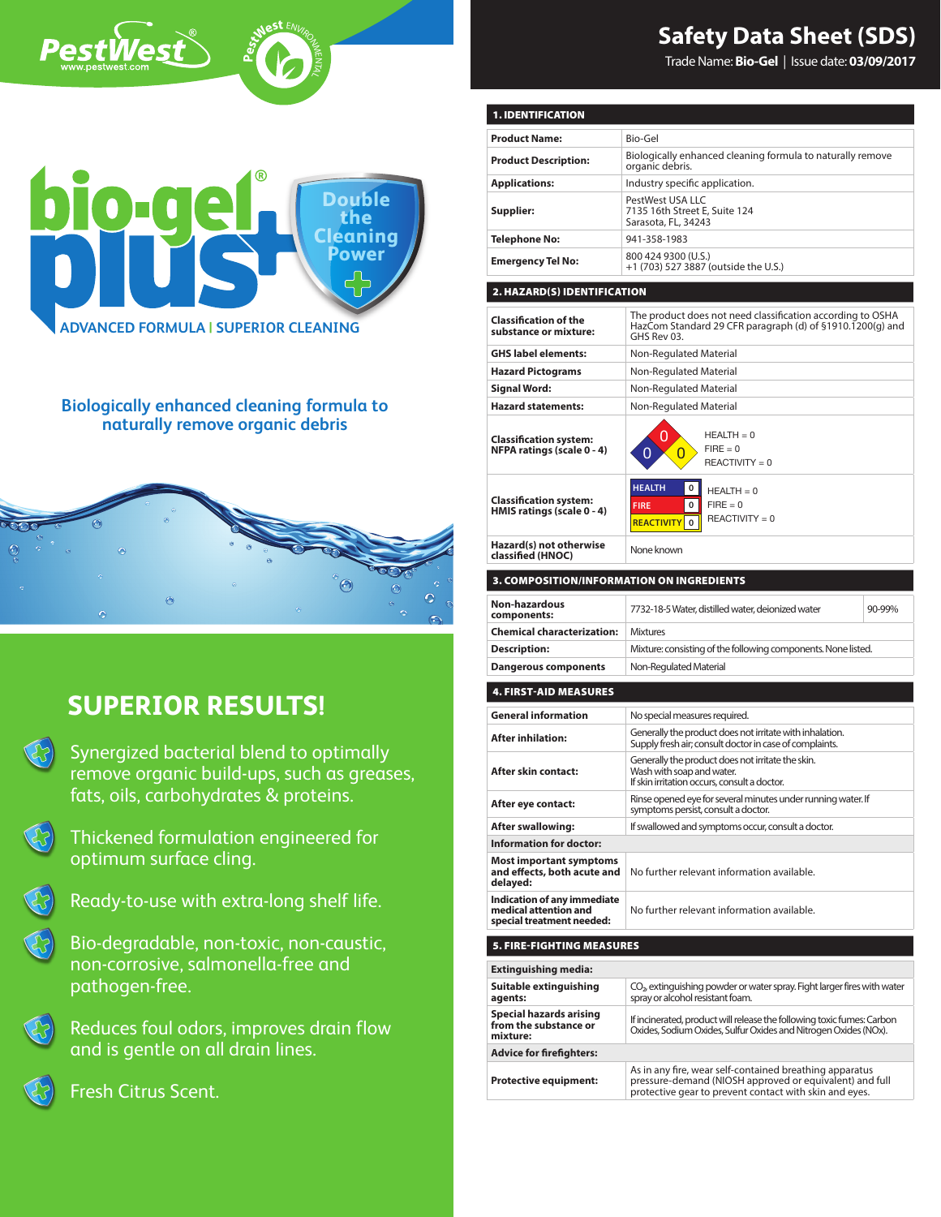

Trade Name: **Bio-Gel** | Issue date: **03/09/2017**



**P**

PestWest

**est ENVIRONMENT** 

z TAL

**Biologically enhanced cleaning formula to naturally remove organic debris**



# **SUPERIOR RESULTS!**

| Synergized bacterial blend to optimally    |
|--------------------------------------------|
| remove organic build-ups, such as greases, |
| fats, oils, carbohydrates & proteins.      |

- $\bigcirc$ Thickened formulation engineered for optimum surface cling.
- 

 $\mathcal{E}$ 

Ready-to-use with extra-long shelf life.

Bio-degradable, non-toxic, non-caustic, non-corrosive, salmonella-free and pathogen-free.

Reduces foul odors, improves drain flow and is gentle on all drain lines.



Fresh Citrus Scent.

| <b>1. IDENTIFICATION</b><br>Bio-Gel<br><b>Product Name:</b><br>Biologically enhanced cleaning formula to naturally remove<br><b>Product Description:</b><br>organic debris.<br><b>Applications:</b><br>Industry specific application.<br>PestWest USA LLC<br>7135 16th Street E, Suite 124<br>Supplier:<br>Sarasota, FL, 34243<br><b>Telephone No:</b><br>941-358-1983<br>800 424 9300 (U.S.)<br><b>Emergency Tel No:</b><br>+1 (703) 527 3887 (outside the U.S.)<br>2. HAZARD(S) IDENTIFICATION<br>The product does not need classification according to OSHA<br><b>Classification of the</b><br>HazCom Standard 29 CFR paragraph (d) of §1910.1200(g) and<br>substance or mixture:<br>GHS Rev 03.<br><b>GHS label elements:</b><br>Non-Regulated Material<br><b>Hazard Pictograms</b><br>Non-Regulated Material<br>Signal Word:<br>Non-Regulated Material<br><b>Hazard statements:</b><br>Non-Regulated Material<br>$HEALTH = 0$<br>Ο<br><b>Classification system:</b><br>$FIRE = 0$<br>NFPA ratings (scale 0 - 4)<br>0<br>0<br>$REACTIVITY = 0$<br><b>HEALTH</b><br>0<br>$HEALTH = 0$<br><b>Classification system:</b><br><b>FIRE</b><br>0<br>$FIRE = 0$<br>HMIS ratings (scale 0 - 4)<br>REACTIVITY = 0<br>$\mathbf 0$<br><b>REACTIVITY</b><br>Hazard(s) not otherwise<br>None known<br>classified (HNOC)<br>3. COMPOSITION/INFORMATION ON INGREDIENTS<br><b>Non-hazardous</b><br>7732-18-5 Water, distilled water, deionized water<br>90-99%<br>components:<br><b>Chemical characterization:</b><br><b>Mixtures</b><br><b>Description:</b><br>Mixture: consisting of the following components. None listed.<br>Non-Regulated Material<br><b>Dangerous components</b><br><b>4. FIRST-AID MEASURES</b><br><b>General information</b><br>No special measures required.<br>Generally the product does not irritate with inhalation.<br><b>After inhilation:</b><br>Supply fresh air; consult doctor in case of complaints.<br>Generally the product does not irritate the skin.<br>Wash with soap and water.<br>After skin contact:<br>If skin irritation occurs, consult a doctor.<br>Rinse opened eye for several minutes under running water. If<br>After eye contact:<br>symptoms persist, consult a doctor.<br><b>After swallowing:</b><br>If swallowed and symptoms occur, consult a doctor.<br><b>Information for doctor:</b><br><b>Most important symptoms</b><br>No further relevant information available.<br>and effects, both acute and<br>delayed:<br>Indication of any immediate<br>medical attention and<br>No further relevant information available.<br>special treatment needed:<br><b>5. FIRE-FIGHTING MEASURES</b><br><b>Extinguishing media:</b><br>Suitable extinguishing<br>$CO2$ extinguishing powder or water spray. Fight larger fires with water<br>spray or alcohol resistant foam.<br>agents:<br>Special hazards arising<br>If incinerated, product will release the following toxic fumes: Carbon<br>from the substance or<br>Oxides, Sodium Oxides, Sulfur Oxides and Nitrogen Oxides (NOx).<br>mixture:<br><b>Advice for firefighters:</b><br>As in any fire, wear self-contained breathing apparatus<br>pressure-demand (NIOSH approved or equivalent) and full<br>Protective equipment:<br>protective gear to prevent contact with skin and eyes. |  |  |  |
|--------------------------------------------------------------------------------------------------------------------------------------------------------------------------------------------------------------------------------------------------------------------------------------------------------------------------------------------------------------------------------------------------------------------------------------------------------------------------------------------------------------------------------------------------------------------------------------------------------------------------------------------------------------------------------------------------------------------------------------------------------------------------------------------------------------------------------------------------------------------------------------------------------------------------------------------------------------------------------------------------------------------------------------------------------------------------------------------------------------------------------------------------------------------------------------------------------------------------------------------------------------------------------------------------------------------------------------------------------------------------------------------------------------------------------------------------------------------------------------------------------------------------------------------------------------------------------------------------------------------------------------------------------------------------------------------------------------------------------------------------------------------------------------------------------------------------------------------------------------------------------------------------------------------------------------------------------------------------------------------------------------------------------------------------------------------------------------------------------------------------------------------------------------------------------------------------------------------------------------------------------------------------------------------------------------------------------------------------------------------------------------------------------------------------------------------------------------------------------------------------------------------------------------------------------------------------------------------------------------------------------------------------------------------------------------------------------------------------------------------------------------------------------------------------------------------------------------------------------------------------------------------------------------------------------------------------------------------------------------------------------------------------------------------------------------------------------------------------------------------------------------------------------------------------------------------------------------------------------------------------------------------------------------|--|--|--|
|                                                                                                                                                                                                                                                                                                                                                                                                                                                                                                                                                                                                                                                                                                                                                                                                                                                                                                                                                                                                                                                                                                                                                                                                                                                                                                                                                                                                                                                                                                                                                                                                                                                                                                                                                                                                                                                                                                                                                                                                                                                                                                                                                                                                                                                                                                                                                                                                                                                                                                                                                                                                                                                                                                                                                                                                                                                                                                                                                                                                                                                                                                                                                                                                                                                                                      |  |  |  |
|                                                                                                                                                                                                                                                                                                                                                                                                                                                                                                                                                                                                                                                                                                                                                                                                                                                                                                                                                                                                                                                                                                                                                                                                                                                                                                                                                                                                                                                                                                                                                                                                                                                                                                                                                                                                                                                                                                                                                                                                                                                                                                                                                                                                                                                                                                                                                                                                                                                                                                                                                                                                                                                                                                                                                                                                                                                                                                                                                                                                                                                                                                                                                                                                                                                                                      |  |  |  |
|                                                                                                                                                                                                                                                                                                                                                                                                                                                                                                                                                                                                                                                                                                                                                                                                                                                                                                                                                                                                                                                                                                                                                                                                                                                                                                                                                                                                                                                                                                                                                                                                                                                                                                                                                                                                                                                                                                                                                                                                                                                                                                                                                                                                                                                                                                                                                                                                                                                                                                                                                                                                                                                                                                                                                                                                                                                                                                                                                                                                                                                                                                                                                                                                                                                                                      |  |  |  |
|                                                                                                                                                                                                                                                                                                                                                                                                                                                                                                                                                                                                                                                                                                                                                                                                                                                                                                                                                                                                                                                                                                                                                                                                                                                                                                                                                                                                                                                                                                                                                                                                                                                                                                                                                                                                                                                                                                                                                                                                                                                                                                                                                                                                                                                                                                                                                                                                                                                                                                                                                                                                                                                                                                                                                                                                                                                                                                                                                                                                                                                                                                                                                                                                                                                                                      |  |  |  |
|                                                                                                                                                                                                                                                                                                                                                                                                                                                                                                                                                                                                                                                                                                                                                                                                                                                                                                                                                                                                                                                                                                                                                                                                                                                                                                                                                                                                                                                                                                                                                                                                                                                                                                                                                                                                                                                                                                                                                                                                                                                                                                                                                                                                                                                                                                                                                                                                                                                                                                                                                                                                                                                                                                                                                                                                                                                                                                                                                                                                                                                                                                                                                                                                                                                                                      |  |  |  |
|                                                                                                                                                                                                                                                                                                                                                                                                                                                                                                                                                                                                                                                                                                                                                                                                                                                                                                                                                                                                                                                                                                                                                                                                                                                                                                                                                                                                                                                                                                                                                                                                                                                                                                                                                                                                                                                                                                                                                                                                                                                                                                                                                                                                                                                                                                                                                                                                                                                                                                                                                                                                                                                                                                                                                                                                                                                                                                                                                                                                                                                                                                                                                                                                                                                                                      |  |  |  |
|                                                                                                                                                                                                                                                                                                                                                                                                                                                                                                                                                                                                                                                                                                                                                                                                                                                                                                                                                                                                                                                                                                                                                                                                                                                                                                                                                                                                                                                                                                                                                                                                                                                                                                                                                                                                                                                                                                                                                                                                                                                                                                                                                                                                                                                                                                                                                                                                                                                                                                                                                                                                                                                                                                                                                                                                                                                                                                                                                                                                                                                                                                                                                                                                                                                                                      |  |  |  |
|                                                                                                                                                                                                                                                                                                                                                                                                                                                                                                                                                                                                                                                                                                                                                                                                                                                                                                                                                                                                                                                                                                                                                                                                                                                                                                                                                                                                                                                                                                                                                                                                                                                                                                                                                                                                                                                                                                                                                                                                                                                                                                                                                                                                                                                                                                                                                                                                                                                                                                                                                                                                                                                                                                                                                                                                                                                                                                                                                                                                                                                                                                                                                                                                                                                                                      |  |  |  |
|                                                                                                                                                                                                                                                                                                                                                                                                                                                                                                                                                                                                                                                                                                                                                                                                                                                                                                                                                                                                                                                                                                                                                                                                                                                                                                                                                                                                                                                                                                                                                                                                                                                                                                                                                                                                                                                                                                                                                                                                                                                                                                                                                                                                                                                                                                                                                                                                                                                                                                                                                                                                                                                                                                                                                                                                                                                                                                                                                                                                                                                                                                                                                                                                                                                                                      |  |  |  |
|                                                                                                                                                                                                                                                                                                                                                                                                                                                                                                                                                                                                                                                                                                                                                                                                                                                                                                                                                                                                                                                                                                                                                                                                                                                                                                                                                                                                                                                                                                                                                                                                                                                                                                                                                                                                                                                                                                                                                                                                                                                                                                                                                                                                                                                                                                                                                                                                                                                                                                                                                                                                                                                                                                                                                                                                                                                                                                                                                                                                                                                                                                                                                                                                                                                                                      |  |  |  |
|                                                                                                                                                                                                                                                                                                                                                                                                                                                                                                                                                                                                                                                                                                                                                                                                                                                                                                                                                                                                                                                                                                                                                                                                                                                                                                                                                                                                                                                                                                                                                                                                                                                                                                                                                                                                                                                                                                                                                                                                                                                                                                                                                                                                                                                                                                                                                                                                                                                                                                                                                                                                                                                                                                                                                                                                                                                                                                                                                                                                                                                                                                                                                                                                                                                                                      |  |  |  |
|                                                                                                                                                                                                                                                                                                                                                                                                                                                                                                                                                                                                                                                                                                                                                                                                                                                                                                                                                                                                                                                                                                                                                                                                                                                                                                                                                                                                                                                                                                                                                                                                                                                                                                                                                                                                                                                                                                                                                                                                                                                                                                                                                                                                                                                                                                                                                                                                                                                                                                                                                                                                                                                                                                                                                                                                                                                                                                                                                                                                                                                                                                                                                                                                                                                                                      |  |  |  |
|                                                                                                                                                                                                                                                                                                                                                                                                                                                                                                                                                                                                                                                                                                                                                                                                                                                                                                                                                                                                                                                                                                                                                                                                                                                                                                                                                                                                                                                                                                                                                                                                                                                                                                                                                                                                                                                                                                                                                                                                                                                                                                                                                                                                                                                                                                                                                                                                                                                                                                                                                                                                                                                                                                                                                                                                                                                                                                                                                                                                                                                                                                                                                                                                                                                                                      |  |  |  |
|                                                                                                                                                                                                                                                                                                                                                                                                                                                                                                                                                                                                                                                                                                                                                                                                                                                                                                                                                                                                                                                                                                                                                                                                                                                                                                                                                                                                                                                                                                                                                                                                                                                                                                                                                                                                                                                                                                                                                                                                                                                                                                                                                                                                                                                                                                                                                                                                                                                                                                                                                                                                                                                                                                                                                                                                                                                                                                                                                                                                                                                                                                                                                                                                                                                                                      |  |  |  |
|                                                                                                                                                                                                                                                                                                                                                                                                                                                                                                                                                                                                                                                                                                                                                                                                                                                                                                                                                                                                                                                                                                                                                                                                                                                                                                                                                                                                                                                                                                                                                                                                                                                                                                                                                                                                                                                                                                                                                                                                                                                                                                                                                                                                                                                                                                                                                                                                                                                                                                                                                                                                                                                                                                                                                                                                                                                                                                                                                                                                                                                                                                                                                                                                                                                                                      |  |  |  |
|                                                                                                                                                                                                                                                                                                                                                                                                                                                                                                                                                                                                                                                                                                                                                                                                                                                                                                                                                                                                                                                                                                                                                                                                                                                                                                                                                                                                                                                                                                                                                                                                                                                                                                                                                                                                                                                                                                                                                                                                                                                                                                                                                                                                                                                                                                                                                                                                                                                                                                                                                                                                                                                                                                                                                                                                                                                                                                                                                                                                                                                                                                                                                                                                                                                                                      |  |  |  |
|                                                                                                                                                                                                                                                                                                                                                                                                                                                                                                                                                                                                                                                                                                                                                                                                                                                                                                                                                                                                                                                                                                                                                                                                                                                                                                                                                                                                                                                                                                                                                                                                                                                                                                                                                                                                                                                                                                                                                                                                                                                                                                                                                                                                                                                                                                                                                                                                                                                                                                                                                                                                                                                                                                                                                                                                                                                                                                                                                                                                                                                                                                                                                                                                                                                                                      |  |  |  |
|                                                                                                                                                                                                                                                                                                                                                                                                                                                                                                                                                                                                                                                                                                                                                                                                                                                                                                                                                                                                                                                                                                                                                                                                                                                                                                                                                                                                                                                                                                                                                                                                                                                                                                                                                                                                                                                                                                                                                                                                                                                                                                                                                                                                                                                                                                                                                                                                                                                                                                                                                                                                                                                                                                                                                                                                                                                                                                                                                                                                                                                                                                                                                                                                                                                                                      |  |  |  |
|                                                                                                                                                                                                                                                                                                                                                                                                                                                                                                                                                                                                                                                                                                                                                                                                                                                                                                                                                                                                                                                                                                                                                                                                                                                                                                                                                                                                                                                                                                                                                                                                                                                                                                                                                                                                                                                                                                                                                                                                                                                                                                                                                                                                                                                                                                                                                                                                                                                                                                                                                                                                                                                                                                                                                                                                                                                                                                                                                                                                                                                                                                                                                                                                                                                                                      |  |  |  |
|                                                                                                                                                                                                                                                                                                                                                                                                                                                                                                                                                                                                                                                                                                                                                                                                                                                                                                                                                                                                                                                                                                                                                                                                                                                                                                                                                                                                                                                                                                                                                                                                                                                                                                                                                                                                                                                                                                                                                                                                                                                                                                                                                                                                                                                                                                                                                                                                                                                                                                                                                                                                                                                                                                                                                                                                                                                                                                                                                                                                                                                                                                                                                                                                                                                                                      |  |  |  |
|                                                                                                                                                                                                                                                                                                                                                                                                                                                                                                                                                                                                                                                                                                                                                                                                                                                                                                                                                                                                                                                                                                                                                                                                                                                                                                                                                                                                                                                                                                                                                                                                                                                                                                                                                                                                                                                                                                                                                                                                                                                                                                                                                                                                                                                                                                                                                                                                                                                                                                                                                                                                                                                                                                                                                                                                                                                                                                                                                                                                                                                                                                                                                                                                                                                                                      |  |  |  |
|                                                                                                                                                                                                                                                                                                                                                                                                                                                                                                                                                                                                                                                                                                                                                                                                                                                                                                                                                                                                                                                                                                                                                                                                                                                                                                                                                                                                                                                                                                                                                                                                                                                                                                                                                                                                                                                                                                                                                                                                                                                                                                                                                                                                                                                                                                                                                                                                                                                                                                                                                                                                                                                                                                                                                                                                                                                                                                                                                                                                                                                                                                                                                                                                                                                                                      |  |  |  |
|                                                                                                                                                                                                                                                                                                                                                                                                                                                                                                                                                                                                                                                                                                                                                                                                                                                                                                                                                                                                                                                                                                                                                                                                                                                                                                                                                                                                                                                                                                                                                                                                                                                                                                                                                                                                                                                                                                                                                                                                                                                                                                                                                                                                                                                                                                                                                                                                                                                                                                                                                                                                                                                                                                                                                                                                                                                                                                                                                                                                                                                                                                                                                                                                                                                                                      |  |  |  |
|                                                                                                                                                                                                                                                                                                                                                                                                                                                                                                                                                                                                                                                                                                                                                                                                                                                                                                                                                                                                                                                                                                                                                                                                                                                                                                                                                                                                                                                                                                                                                                                                                                                                                                                                                                                                                                                                                                                                                                                                                                                                                                                                                                                                                                                                                                                                                                                                                                                                                                                                                                                                                                                                                                                                                                                                                                                                                                                                                                                                                                                                                                                                                                                                                                                                                      |  |  |  |
|                                                                                                                                                                                                                                                                                                                                                                                                                                                                                                                                                                                                                                                                                                                                                                                                                                                                                                                                                                                                                                                                                                                                                                                                                                                                                                                                                                                                                                                                                                                                                                                                                                                                                                                                                                                                                                                                                                                                                                                                                                                                                                                                                                                                                                                                                                                                                                                                                                                                                                                                                                                                                                                                                                                                                                                                                                                                                                                                                                                                                                                                                                                                                                                                                                                                                      |  |  |  |
|                                                                                                                                                                                                                                                                                                                                                                                                                                                                                                                                                                                                                                                                                                                                                                                                                                                                                                                                                                                                                                                                                                                                                                                                                                                                                                                                                                                                                                                                                                                                                                                                                                                                                                                                                                                                                                                                                                                                                                                                                                                                                                                                                                                                                                                                                                                                                                                                                                                                                                                                                                                                                                                                                                                                                                                                                                                                                                                                                                                                                                                                                                                                                                                                                                                                                      |  |  |  |
|                                                                                                                                                                                                                                                                                                                                                                                                                                                                                                                                                                                                                                                                                                                                                                                                                                                                                                                                                                                                                                                                                                                                                                                                                                                                                                                                                                                                                                                                                                                                                                                                                                                                                                                                                                                                                                                                                                                                                                                                                                                                                                                                                                                                                                                                                                                                                                                                                                                                                                                                                                                                                                                                                                                                                                                                                                                                                                                                                                                                                                                                                                                                                                                                                                                                                      |  |  |  |
|                                                                                                                                                                                                                                                                                                                                                                                                                                                                                                                                                                                                                                                                                                                                                                                                                                                                                                                                                                                                                                                                                                                                                                                                                                                                                                                                                                                                                                                                                                                                                                                                                                                                                                                                                                                                                                                                                                                                                                                                                                                                                                                                                                                                                                                                                                                                                                                                                                                                                                                                                                                                                                                                                                                                                                                                                                                                                                                                                                                                                                                                                                                                                                                                                                                                                      |  |  |  |
|                                                                                                                                                                                                                                                                                                                                                                                                                                                                                                                                                                                                                                                                                                                                                                                                                                                                                                                                                                                                                                                                                                                                                                                                                                                                                                                                                                                                                                                                                                                                                                                                                                                                                                                                                                                                                                                                                                                                                                                                                                                                                                                                                                                                                                                                                                                                                                                                                                                                                                                                                                                                                                                                                                                                                                                                                                                                                                                                                                                                                                                                                                                                                                                                                                                                                      |  |  |  |
|                                                                                                                                                                                                                                                                                                                                                                                                                                                                                                                                                                                                                                                                                                                                                                                                                                                                                                                                                                                                                                                                                                                                                                                                                                                                                                                                                                                                                                                                                                                                                                                                                                                                                                                                                                                                                                                                                                                                                                                                                                                                                                                                                                                                                                                                                                                                                                                                                                                                                                                                                                                                                                                                                                                                                                                                                                                                                                                                                                                                                                                                                                                                                                                                                                                                                      |  |  |  |
|                                                                                                                                                                                                                                                                                                                                                                                                                                                                                                                                                                                                                                                                                                                                                                                                                                                                                                                                                                                                                                                                                                                                                                                                                                                                                                                                                                                                                                                                                                                                                                                                                                                                                                                                                                                                                                                                                                                                                                                                                                                                                                                                                                                                                                                                                                                                                                                                                                                                                                                                                                                                                                                                                                                                                                                                                                                                                                                                                                                                                                                                                                                                                                                                                                                                                      |  |  |  |
|                                                                                                                                                                                                                                                                                                                                                                                                                                                                                                                                                                                                                                                                                                                                                                                                                                                                                                                                                                                                                                                                                                                                                                                                                                                                                                                                                                                                                                                                                                                                                                                                                                                                                                                                                                                                                                                                                                                                                                                                                                                                                                                                                                                                                                                                                                                                                                                                                                                                                                                                                                                                                                                                                                                                                                                                                                                                                                                                                                                                                                                                                                                                                                                                                                                                                      |  |  |  |
|                                                                                                                                                                                                                                                                                                                                                                                                                                                                                                                                                                                                                                                                                                                                                                                                                                                                                                                                                                                                                                                                                                                                                                                                                                                                                                                                                                                                                                                                                                                                                                                                                                                                                                                                                                                                                                                                                                                                                                                                                                                                                                                                                                                                                                                                                                                                                                                                                                                                                                                                                                                                                                                                                                                                                                                                                                                                                                                                                                                                                                                                                                                                                                                                                                                                                      |  |  |  |
|                                                                                                                                                                                                                                                                                                                                                                                                                                                                                                                                                                                                                                                                                                                                                                                                                                                                                                                                                                                                                                                                                                                                                                                                                                                                                                                                                                                                                                                                                                                                                                                                                                                                                                                                                                                                                                                                                                                                                                                                                                                                                                                                                                                                                                                                                                                                                                                                                                                                                                                                                                                                                                                                                                                                                                                                                                                                                                                                                                                                                                                                                                                                                                                                                                                                                      |  |  |  |
|                                                                                                                                                                                                                                                                                                                                                                                                                                                                                                                                                                                                                                                                                                                                                                                                                                                                                                                                                                                                                                                                                                                                                                                                                                                                                                                                                                                                                                                                                                                                                                                                                                                                                                                                                                                                                                                                                                                                                                                                                                                                                                                                                                                                                                                                                                                                                                                                                                                                                                                                                                                                                                                                                                                                                                                                                                                                                                                                                                                                                                                                                                                                                                                                                                                                                      |  |  |  |
|                                                                                                                                                                                                                                                                                                                                                                                                                                                                                                                                                                                                                                                                                                                                                                                                                                                                                                                                                                                                                                                                                                                                                                                                                                                                                                                                                                                                                                                                                                                                                                                                                                                                                                                                                                                                                                                                                                                                                                                                                                                                                                                                                                                                                                                                                                                                                                                                                                                                                                                                                                                                                                                                                                                                                                                                                                                                                                                                                                                                                                                                                                                                                                                                                                                                                      |  |  |  |
|                                                                                                                                                                                                                                                                                                                                                                                                                                                                                                                                                                                                                                                                                                                                                                                                                                                                                                                                                                                                                                                                                                                                                                                                                                                                                                                                                                                                                                                                                                                                                                                                                                                                                                                                                                                                                                                                                                                                                                                                                                                                                                                                                                                                                                                                                                                                                                                                                                                                                                                                                                                                                                                                                                                                                                                                                                                                                                                                                                                                                                                                                                                                                                                                                                                                                      |  |  |  |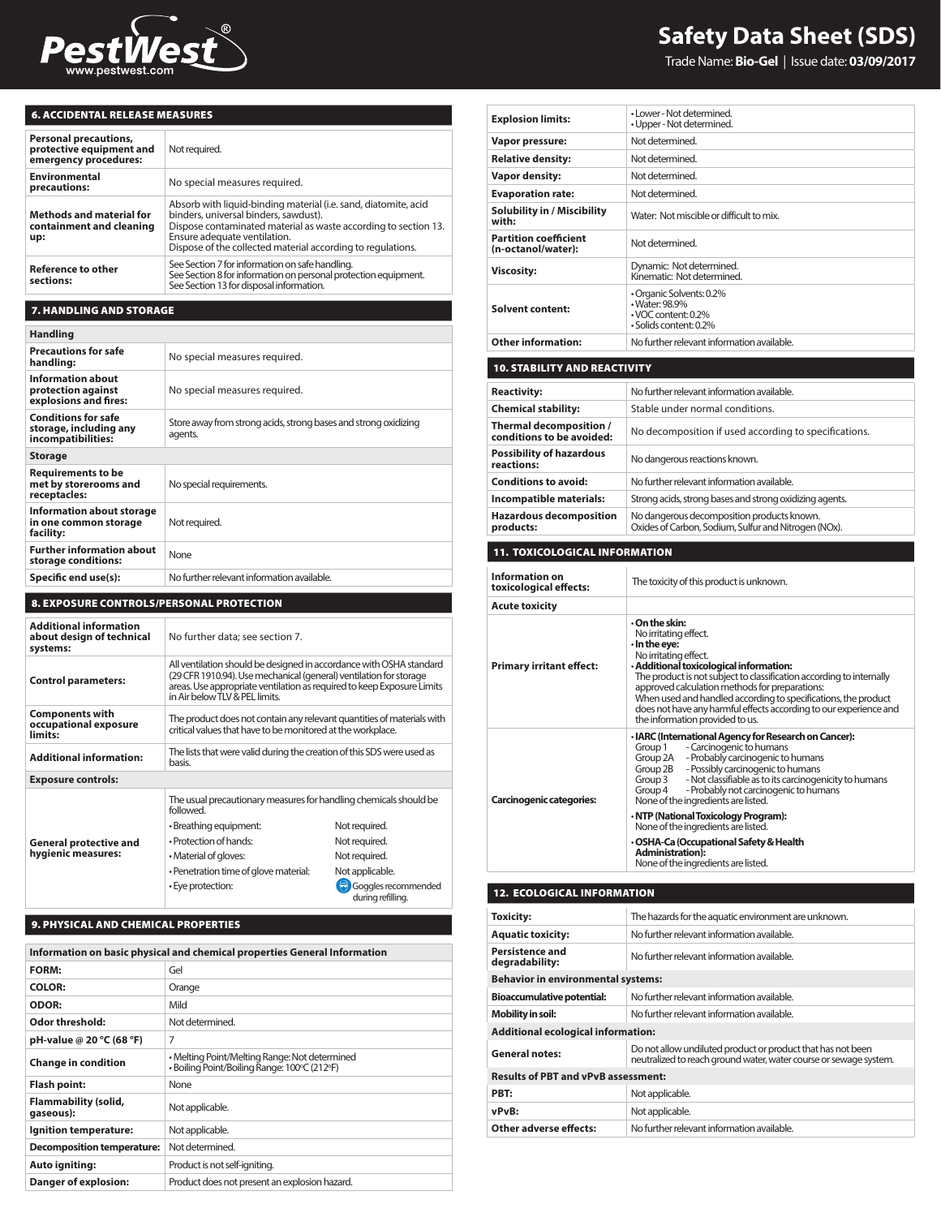

# **Safety Data Sheet (SDS)**

Trade Name: **Bio-Gel** | Issue date: **03/09/2017**

## 6. ACCIDENTAL RELEASE MEASURES

| <b>Personal precautions,</b><br>protective equipment and<br>emergency procedures: | Not required.                                                                                                                                                                                                                                                              |
|-----------------------------------------------------------------------------------|----------------------------------------------------------------------------------------------------------------------------------------------------------------------------------------------------------------------------------------------------------------------------|
| <b>Environmental</b><br>precautions:                                              | No special measures required.                                                                                                                                                                                                                                              |
| <b>Methods and material for</b><br>containment and cleaning<br>up:                | Absorb with liquid-binding material (i.e. sand, diatomite, acid<br>binders, universal binders, sawdust).<br>Dispose contaminated material as waste according to section 13.<br>Ensure adequate ventilation.<br>Dispose of the collected material according to regulations. |
| <b>Reference to other</b><br>sections:                                            | See Section 7 for information on safe handling.<br>See Section 8 for information on personal protection equipment.<br>See Section 13 for disposal information.                                                                                                             |

### 7. HANDLING AND STORAGE

| <b>Handling</b>                                                            |                                                                            |  |
|----------------------------------------------------------------------------|----------------------------------------------------------------------------|--|
| <b>Precautions for safe</b><br>handling:                                   | No special measures required.                                              |  |
| Information about<br>protection against<br>explosions and fires:           | No special measures required.                                              |  |
| <b>Conditions for safe</b><br>storage, including any<br>incompatibilities: | Store away from strong acids, strong bases and strong oxidizing<br>agents. |  |
| <b>Storage</b>                                                             |                                                                            |  |
| <b>Requirements to be</b><br>met by storerooms and<br>receptacles:         | No special requirements.                                                   |  |
| Information about storage<br>in one common storage<br>facility:            | Not required.                                                              |  |
| <b>Further information about</b><br>storage conditions:                    | None                                                                       |  |
| Specific end use(s):                                                       | No further relevant information available.                                 |  |

#### 8. EXPOSURE CONTROLS/PERSONAL PROTECTION

| <b>Additional information</b><br>about design of technical<br>systems: | No further data; see section 7.                                                                                                                                                                                                                       |                                          |
|------------------------------------------------------------------------|-------------------------------------------------------------------------------------------------------------------------------------------------------------------------------------------------------------------------------------------------------|------------------------------------------|
| <b>Control parameters:</b>                                             | All ventilation should be designed in accordance with OSHA standard<br>(29 CFR 1910.94). Use mechanical (general) ventilation for storage<br>areas. Use appropriate ventilation as required to keep Exposure Limits<br>in Air below TLV & PEL limits. |                                          |
| <b>Components with</b><br>occupational exposure<br>limits:             | The product does not contain any relevant quantities of materials with<br>critical values that have to be monitored at the workplace.                                                                                                                 |                                          |
| <b>Additional information:</b>                                         | The lists that were valid during the creation of this SDS were used as<br>hasis.                                                                                                                                                                      |                                          |
| <b>Exposure controls:</b>                                              |                                                                                                                                                                                                                                                       |                                          |
|                                                                        | The usual precautionary measures for handling chemicals should be<br>followed                                                                                                                                                                         |                                          |
|                                                                        | · Breathing equipment:                                                                                                                                                                                                                                | Not required.                            |
| <b>General protective and</b>                                          | • Protection of hands:                                                                                                                                                                                                                                | Not required.                            |
| hygienic measures:                                                     | • Material of gloves:                                                                                                                                                                                                                                 | Not required.                            |
|                                                                        | • Penetration time of glove material:                                                                                                                                                                                                                 | Not applicable.                          |
|                                                                        | • Eye protection:                                                                                                                                                                                                                                     | Goggles recommended<br>during refilling. |

#### 9. PHYSICAL AND CHEMICAL PROPERTIES

| Information on basic physical and chemical properties General Information |                                                                                               |
|---------------------------------------------------------------------------|-----------------------------------------------------------------------------------------------|
| <b>FORM:</b>                                                              | Gel                                                                                           |
| <b>COLOR:</b>                                                             | Orange                                                                                        |
| <b>ODOR:</b>                                                              | Mild                                                                                          |
| Odor threshold:                                                           | Not determined.                                                                               |
| pH-value @ 20 °C (68 °F)                                                  | 7                                                                                             |
| <b>Change in condition</b>                                                | • Melting Point/Melting Range: Not determined<br>· Boiling Point/Boiling Range: 100°C (212°F) |
| <b>Flash point:</b>                                                       | None                                                                                          |
| Flammability (solid,<br>qaseous):                                         | Not applicable.                                                                               |
| Ignition temperature:                                                     | Not applicable.                                                                               |
| <b>Decomposition temperature:</b>                                         | Not determined.                                                                               |
| Auto igniting:                                                            | Product is not self-igniting.                                                                 |
| Danger of explosion:                                                      | Product does not present an explosion hazard.                                                 |

| <b>Explosion limits:</b>                             | • Lower - Not determined.<br>• Upper - Not determined.                                                                                                                                                                                                                                                                                                                                                                                                                                                                                              |  |
|------------------------------------------------------|-----------------------------------------------------------------------------------------------------------------------------------------------------------------------------------------------------------------------------------------------------------------------------------------------------------------------------------------------------------------------------------------------------------------------------------------------------------------------------------------------------------------------------------------------------|--|
| Vapor pressure:                                      | Not determined.                                                                                                                                                                                                                                                                                                                                                                                                                                                                                                                                     |  |
| <b>Relative density:</b>                             | Not determined.                                                                                                                                                                                                                                                                                                                                                                                                                                                                                                                                     |  |
| Vapor density:                                       | Not determined.                                                                                                                                                                                                                                                                                                                                                                                                                                                                                                                                     |  |
| <b>Evaporation rate:</b>                             | Not determined.                                                                                                                                                                                                                                                                                                                                                                                                                                                                                                                                     |  |
| <b>Solubility in / Miscibility</b><br>with:          | Water: Not miscible or difficult to mix.                                                                                                                                                                                                                                                                                                                                                                                                                                                                                                            |  |
| <b>Partition coefficient</b><br>(n-octanol/water):   | Not determined.                                                                                                                                                                                                                                                                                                                                                                                                                                                                                                                                     |  |
| <b>Viscosity:</b>                                    | Dynamic: Not determined.<br>Kinematic: Not determined.                                                                                                                                                                                                                                                                                                                                                                                                                                                                                              |  |
| <b>Solvent content:</b>                              | • Organic Solvents: 0.2%<br>• Water: 98.9%<br>• VOC content: 0.2%<br>· Solids content: 0.2%                                                                                                                                                                                                                                                                                                                                                                                                                                                         |  |
| <b>Other information:</b>                            | No further relevant information available.                                                                                                                                                                                                                                                                                                                                                                                                                                                                                                          |  |
| <b>10. STABILITY AND REACTIVITY</b>                  |                                                                                                                                                                                                                                                                                                                                                                                                                                                                                                                                                     |  |
|                                                      |                                                                                                                                                                                                                                                                                                                                                                                                                                                                                                                                                     |  |
| <b>Reactivity:</b>                                   | No further relevant information available.                                                                                                                                                                                                                                                                                                                                                                                                                                                                                                          |  |
| <b>Chemical stability:</b>                           | Stable under normal conditions.                                                                                                                                                                                                                                                                                                                                                                                                                                                                                                                     |  |
| Thermal decomposition /<br>conditions to be avoided: | No decomposition if used according to specifications.                                                                                                                                                                                                                                                                                                                                                                                                                                                                                               |  |
| <b>Possibility of hazardous</b><br>reactions:        | No dangerous reactions known.                                                                                                                                                                                                                                                                                                                                                                                                                                                                                                                       |  |
| <b>Conditions to avoid:</b>                          | No further relevant information available.                                                                                                                                                                                                                                                                                                                                                                                                                                                                                                          |  |
| Incompatible materials:                              | Strong acids, strong bases and strong oxidizing agents.                                                                                                                                                                                                                                                                                                                                                                                                                                                                                             |  |
| <b>Hazardous decomposition</b><br>products:          | No dangerous decomposition products known.<br>Oxides of Carbon, Sodium, Sulfur and Nitrogen (NOx).                                                                                                                                                                                                                                                                                                                                                                                                                                                  |  |
| <b>11. TOXICOLOGICAL INFORMATION</b>                 |                                                                                                                                                                                                                                                                                                                                                                                                                                                                                                                                                     |  |
| <b>Information on</b><br>toxicological effects:      | The toxicity of this product is unknown.                                                                                                                                                                                                                                                                                                                                                                                                                                                                                                            |  |
| <b>Acute toxicity</b>                                |                                                                                                                                                                                                                                                                                                                                                                                                                                                                                                                                                     |  |
| <b>Primary irritant effect:</b>                      | $\cdot$ On the skin:<br>No irritating effect.<br>$\cdot$ In the eye:<br>No irritating effect.<br>· Additional toxicological information:<br>The product is not subject to classification according to internally<br>approved calculation methods for preparations:<br>When used and handled according to specifications, the product<br>does not have any harmful effects according to our experience and<br>the information provided to us.                                                                                                        |  |
| <b>Carcinogenic categories:</b>                      | · IARC (International Agency for Research on Cancer):<br>- Carcinogenic to humans<br>Group 1<br>Group 2A<br>- Probably carcinogenic to humans<br>- Possibly carcinogenic to humans<br>Group 2B<br>- Not classifiable as to its carcinogenicity to humans<br>Group 3<br>- Probably not carcinogenic to humans<br>Group 4<br>None of the ingredients are listed.<br>· NTP (National Toxicology Program):<br>None of the ingredients are listed.<br>· OSHA-Ca (Occupational Safety & Health<br>Administration):<br>None of the ingredients are listed. |  |

## 12. ECOLOGICAL INFORMATION

| Toxicity:                                  | The hazards for the aquatic environment are unknown.                                                                             |  |
|--------------------------------------------|----------------------------------------------------------------------------------------------------------------------------------|--|
| <b>Aquatic toxicity:</b>                   | No further relevant information available.                                                                                       |  |
| Persistence and<br>degradability:          | No further relevant information available                                                                                        |  |
| <b>Behavior in environmental systems:</b>  |                                                                                                                                  |  |
| <b>Bioaccumulative potential:</b>          | No further relevant information available.                                                                                       |  |
| Mobility in soil:                          | No further relevant information available.                                                                                       |  |
| <b>Additional ecological information:</b>  |                                                                                                                                  |  |
| <b>General notes:</b>                      | Do not allow undiluted product or product that has not been<br>neutralized to reach ground water, water course or sewage system. |  |
| <b>Results of PBT and vPvB assessment:</b> |                                                                                                                                  |  |
| PRT:                                       | Not applicable.                                                                                                                  |  |
| vPvB:                                      | Not applicable.                                                                                                                  |  |
| Other adverse effects:                     | No further relevant information available.                                                                                       |  |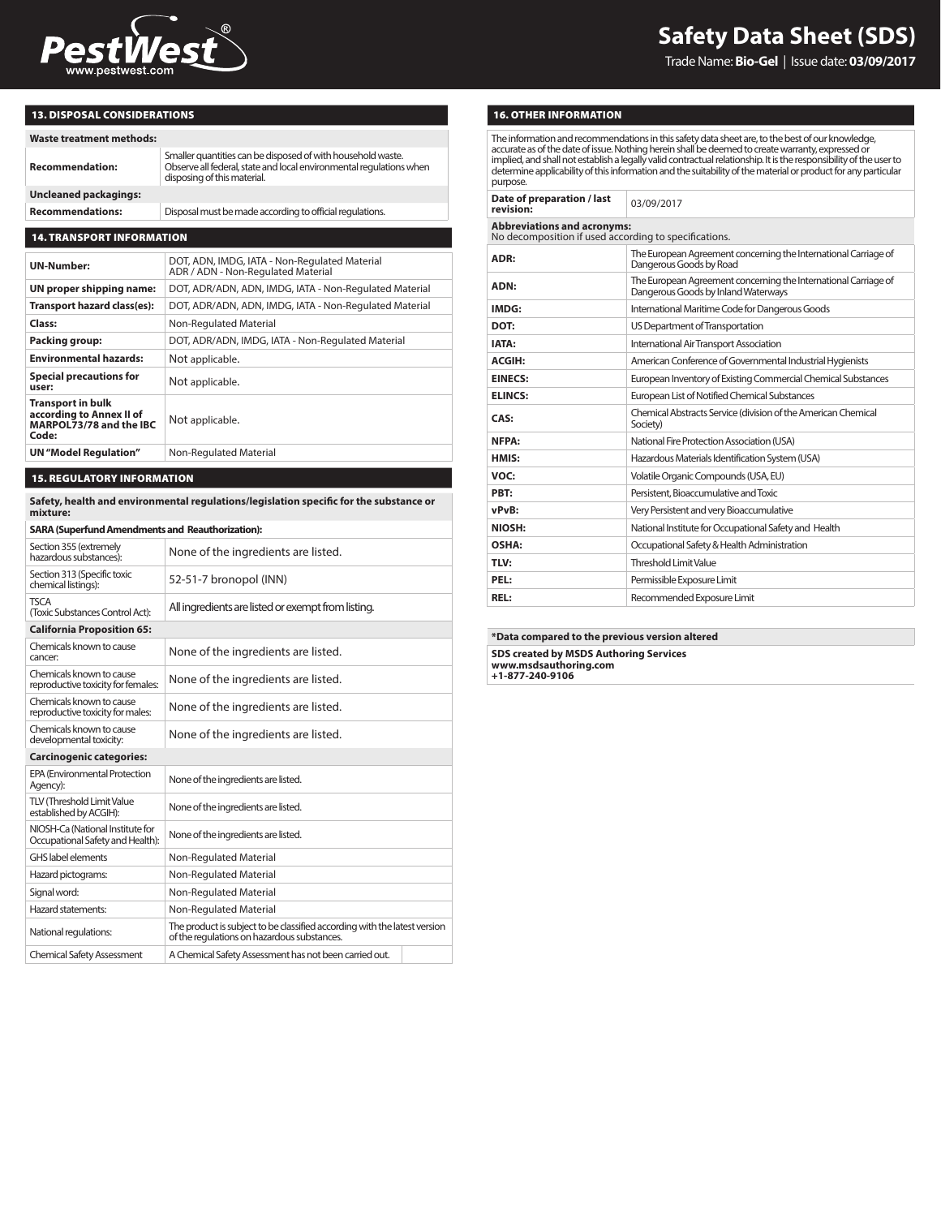

Trade Name: **Bio-Gel** | Issue date: **03/09/2017**

### 13. DISPOSAL CONSIDERATIONS

| . |  |  |  |  |
|---|--|--|--|--|

| <b>Waste treatment methods:</b>                                                     |                                                                                                                                                                   |  |
|-------------------------------------------------------------------------------------|-------------------------------------------------------------------------------------------------------------------------------------------------------------------|--|
| <b>Recommendation:</b>                                                              | Smaller quantities can be disposed of with household waste.<br>Observe all federal, state and local environmental regulations when<br>disposing of this material. |  |
| <b>Uncleaned packagings:</b>                                                        |                                                                                                                                                                   |  |
| Disposal must be made according to official regulations.<br><b>Recommendations:</b> |                                                                                                                                                                   |  |
|                                                                                     |                                                                                                                                                                   |  |
| <b>14. TRANSPORT INFORMATION</b>                                                    |                                                                                                                                                                   |  |

## **UN-Number:** DOT, ADN, IMDG, IATA - Non-Regulated Material<br>ADR / ADN - Non-Regulated Material **UN proper shipping name:** DOT, ADR/ADN, ADN, IMDG, IATA - Non-Regulated Material **Transport hazard class(es):** DOT, ADR/ADN, ADN, IMDG, IATA - Non-Regulated Material **Class:** Non-Regulated Material **Packing group:** DOT, ADR/ADN, IMDG, IATA - Non-Regulated Material **Environmental hazards:** Not applicable. **Special precautions for user:** Not applicable. **Transport in bulk according to Annex II of MARPOL73/78 and the IBC Code:** Not applicable. **UN** "Model Regulation" Non-Regulated Material

#### 15. REGULATORY INFORMATION

**Safety, health and environmental regulations/legislation specific for the substance or mixture:**

#### **SARA (Superfund Amendments and Reauthorization):** Section 355 (extremely

| Section 355 (extremely<br>hazardous substances):                     | None of the ingredients are listed.                                                                                      |
|----------------------------------------------------------------------|--------------------------------------------------------------------------------------------------------------------------|
| Section 313 (Specific toxic<br>chemical listings):                   | 52-51-7 bronopol (INN)                                                                                                   |
| <b>TSCA</b><br>(Toxic Substances Control Act):                       | All ingredients are listed or exempt from listing.                                                                       |
| <b>California Proposition 65:</b>                                    |                                                                                                                          |
| Chemicals known to cause<br>cancer:                                  | None of the ingredients are listed.                                                                                      |
| Chemicals known to cause<br>reproductive toxicity for females:       | None of the ingredients are listed.                                                                                      |
| Chemicals known to cause<br>reproductive toxicity for males:         | None of the ingredients are listed.                                                                                      |
| Chemicals known to cause<br>developmental toxicity:                  | None of the ingredients are listed.                                                                                      |
| <b>Carcinogenic categories:</b>                                      |                                                                                                                          |
| <b>EPA (Environmental Protection)</b><br>Agency):                    | None of the ingredients are listed.                                                                                      |
| <b>TLV (Threshold Limit Value</b><br>established by ACGIH):          | None of the ingredients are listed.                                                                                      |
| NIOSH-Ca (National Institute for<br>Occupational Safety and Health): | None of the ingredients are listed.                                                                                      |
| <b>GHS</b> label elements                                            | Non-Regulated Material                                                                                                   |
| Hazard pictograms:                                                   | Non-Regulated Material                                                                                                   |
| Signal word:                                                         | Non-Regulated Material                                                                                                   |
| Hazard statements:                                                   | Non-Regulated Material                                                                                                   |
| National regulations:                                                | The product is subject to be classified according with the latest version<br>of the regulations on hazardous substances. |
| <b>Chemical Safety Assessment</b>                                    | A Chemical Safety Assessment has not been carried out.                                                                   |

#### 16. OTHER INFORMATION

The information and recommendations in this safety data sheet are, to the best of our knowledge, accurate as of the date of issue. Nothing herein shall be deemed to create warranty, expressed or implied, and shall not establish a legally valid contractual relationship. It is the responsibility of the user to<br>determine applicability of this information and the suitability of the material or product for any particul purpose.

| Date of preparation / last<br>revision:                                                     | 03/09/2017                                                                                             |  |
|---------------------------------------------------------------------------------------------|--------------------------------------------------------------------------------------------------------|--|
| <b>Abbreviations and acronyms:</b><br>No decomposition if used according to specifications. |                                                                                                        |  |
| ADR:                                                                                        | The European Agreement concerning the International Carriage of<br>Dangerous Goods by Road             |  |
| ADN:                                                                                        | The European Agreement concerning the International Carriage of<br>Dangerous Goods by Inland Waterways |  |
| IMDG:                                                                                       | International Maritime Code for Dangerous Goods                                                        |  |
| DOT:                                                                                        | US Department of Transportation                                                                        |  |
| IATA:                                                                                       | International Air Transport Association                                                                |  |
| ACGIH:                                                                                      | American Conference of Governmental Industrial Hygienists                                              |  |
| <b>EINECS:</b>                                                                              | European Inventory of Existing Commercial Chemical Substances                                          |  |
| <b>ELINCS:</b>                                                                              | European List of Notified Chemical Substances                                                          |  |
| CAS:                                                                                        | Chemical Abstracts Service (division of the American Chemical<br>Society)                              |  |
| NFPA:                                                                                       | National Fire Protection Association (USA)                                                             |  |
| HMIS:                                                                                       | Hazardous Materials Identification System (USA)                                                        |  |
| VOC:                                                                                        | Volatile Organic Compounds (USA, EU)                                                                   |  |
| PRT:                                                                                        | Persistent, Bioaccumulative and Toxic                                                                  |  |
| vPvB:                                                                                       | Very Persistent and very Bioaccumulative                                                               |  |
| NIOSH:                                                                                      | National Institute for Occupational Safety and Health                                                  |  |
| OSHA:                                                                                       | Occupational Safety & Health Administration                                                            |  |
| TLV:                                                                                        | <b>Threshold Limit Value</b>                                                                           |  |
| PEL:                                                                                        | Permissible Exposure Limit                                                                             |  |
| REL:                                                                                        | Recommended Exposure Limit                                                                             |  |

**\*Data compared to the previous version altered SDS created by MSDS Authoring Services www.msdsauthoring.com +1-877-240-9106**